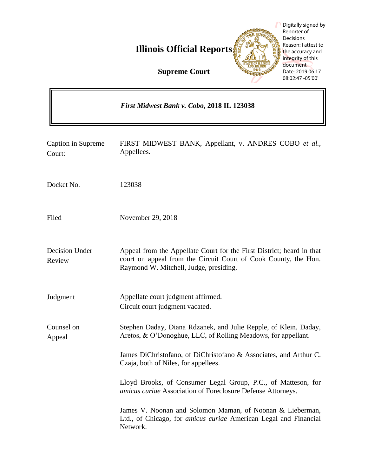**Illinois Official Reports** 

Digitally signed by Reporter of Decisions Reason: I attest to the accuracy and integrity of this document Date: 2019.06.17

**Supreme Court**

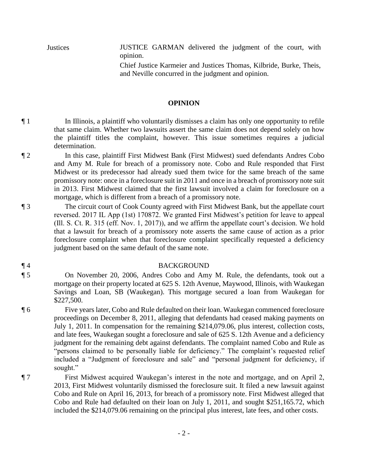Justices JUSTICE GARMAN delivered the judgment of the court, with opinion.

> Chief Justice Karmeier and Justices Thomas, Kilbride, Burke, Theis, and Neville concurred in the judgment and opinion.

## **OPINION**

¶ 1 In Illinois, a plaintiff who voluntarily dismisses a claim has only one opportunity to refile that same claim. Whether two lawsuits assert the same claim does not depend solely on how the plaintiff titles the complaint, however. This issue sometimes requires a judicial determination.

- ¶ 2 In this case, plaintiff First Midwest Bank (First Midwest) sued defendants Andres Cobo and Amy M. Rule for breach of a promissory note. Cobo and Rule responded that First Midwest or its predecessor had already sued them twice for the same breach of the same promissory note: once in a foreclosure suit in 2011 and once in a breach of promissory note suit in 2013. First Midwest claimed that the first lawsuit involved a claim for foreclosure on a mortgage, which is different from a breach of a promissory note.
- ¶ 3 The circuit court of Cook County agreed with First Midwest Bank, but the appellate court reversed. 2017 IL App (1st) 170872. We granted First Midwest's petition for leave to appeal (Ill. S. Ct. R. 315 (eff. Nov. 1, 2017)), and we affirm the appellate court's decision. We hold that a lawsuit for breach of a promissory note asserts the same cause of action as a prior foreclosure complaint when that foreclosure complaint specifically requested a deficiency judgment based on the same default of the same note.

## ¶ 4 BACKGROUND

- ¶ 5 On November 20, 2006, Andres Cobo and Amy M. Rule, the defendants, took out a mortgage on their property located at 625 S. 12th Avenue, Maywood, Illinois, with Waukegan Savings and Loan, SB (Waukegan). This mortgage secured a loan from Waukegan for \$227,500.
- ¶ 6 Five years later, Cobo and Rule defaulted on their loan. Waukegan commenced foreclosure proceedings on December 8, 2011, alleging that defendants had ceased making payments on July 1, 2011. In compensation for the remaining \$214,079.06, plus interest, collection costs, and late fees, Waukegan sought a foreclosure and sale of 625 S. 12th Avenue and a deficiency judgment for the remaining debt against defendants. The complaint named Cobo and Rule as "persons claimed to be personally liable for deficiency." The complaint's requested relief included a "Judgment of foreclosure and sale" and "personal judgment for deficiency, if sought."
- ¶ 7 First Midwest acquired Waukegan's interest in the note and mortgage, and on April 2, 2013, First Midwest voluntarily dismissed the foreclosure suit. It filed a new lawsuit against Cobo and Rule on April 16, 2013, for breach of a promissory note. First Midwest alleged that Cobo and Rule had defaulted on their loan on July 1, 2011, and sought \$251,165.72, which included the \$214,079.06 remaining on the principal plus interest, late fees, and other costs.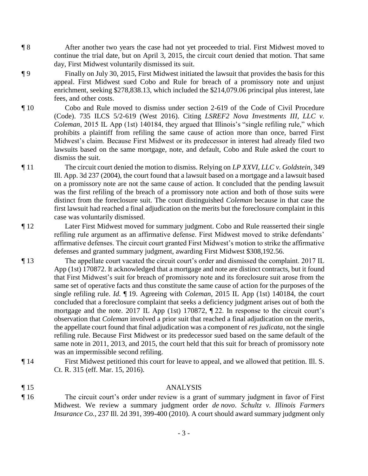- ¶ 8 After another two years the case had not yet proceeded to trial. First Midwest moved to continue the trial date, but on April 3, 2015, the circuit court denied that motion. That same day, First Midwest voluntarily dismissed its suit.
- ¶ 9 Finally on July 30, 2015, First Midwest initiated the lawsuit that provides the basis for this appeal. First Midwest sued Cobo and Rule for breach of a promissory note and unjust enrichment, seeking \$278,838.13, which included the \$214,079.06 principal plus interest, late fees, and other costs.
- ¶ 10 Cobo and Rule moved to dismiss under section 2-619 of the Code of Civil Procedure (Code). 735 ILCS 5/2-619 (West 2016). Citing *LSREF2 Nova Investments III, LLC v. Coleman*, 2015 IL App (1st) 140184, they argued that Illinois's "single refiling rule," which prohibits a plaintiff from refiling the same cause of action more than once, barred First Midwest's claim. Because First Midwest or its predecessor in interest had already filed two lawsuits based on the same mortgage, note, and default, Cobo and Rule asked the court to dismiss the suit.
- ¶ 11 The circuit court denied the motion to dismiss. Relying on *LP XXVI, LLC v. Goldstein*, 349 Ill. App. 3d 237 (2004), the court found that a lawsuit based on a mortgage and a lawsuit based on a promissory note are not the same cause of action. It concluded that the pending lawsuit was the first refiling of the breach of a promissory note action and both of those suits were distinct from the foreclosure suit. The court distinguished *Coleman* because in that case the first lawsuit had reached a final adjudication on the merits but the foreclosure complaint in this case was voluntarily dismissed.
- ¶ 12 Later First Midwest moved for summary judgment. Cobo and Rule reasserted their single refiling rule argument as an affirmative defense. First Midwest moved to strike defendants' affirmative defenses. The circuit court granted First Midwest's motion to strike the affirmative defenses and granted summary judgment, awarding First Midwest \$308,192.56.
- ¶ 13 The appellate court vacated the circuit court's order and dismissed the complaint. 2017 IL App (1st) 170872. It acknowledged that a mortgage and note are distinct contracts, but it found that First Midwest's suit for breach of promissory note and its foreclosure suit arose from the same set of operative facts and thus constitute the same cause of action for the purposes of the single refiling rule. *Id.* ¶ 19. Agreeing with *Coleman*, 2015 IL App (1st) 140184, the court concluded that a foreclosure complaint that seeks a deficiency judgment arises out of both the mortgage and the note. 2017 IL App (1st) 170872, ¶ 22. In response to the circuit court's observation that *Coleman* involved a prior suit that reached a final adjudication on the merits, the appellate court found that final adjudication was a component of *res judicata*, not the single refiling rule. Because First Midwest or its predecessor sued based on the same default of the same note in 2011, 2013, and 2015, the court held that this suit for breach of promissory note was an impermissible second refiling.
- ¶ 14 First Midwest petitioned this court for leave to appeal, and we allowed that petition. Ill. S. Ct. R. 315 (eff. Mar. 15, 2016).
- ¶ 15 ANALYSIS ¶ 16 The circuit court's order under review is a grant of summary judgment in favor of First Midwest. We review a summary judgment order *de novo*. *Schultz v. Illinois Farmers Insurance Co.*, 237 Ill. 2d 391, 399-400 (2010). A court should award summary judgment only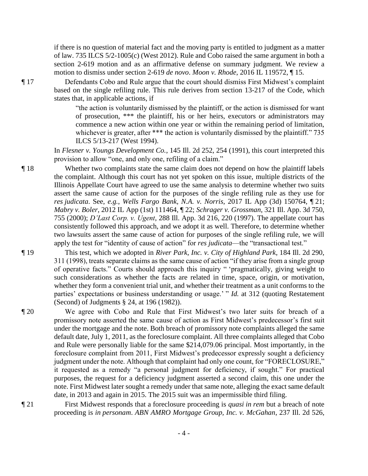if there is no question of material fact and the moving party is entitled to judgment as a matter of law. 735 ILCS 5/2-1005(c) (West 2012). Rule and Cobo raised the same argument in both a section 2-619 motion and as an affirmative defense on summary judgment. We review a motion to dismiss under section 2-619 *de novo*. *Moon v. Rhode*, 2016 IL 119572, ¶ 15.

¶ 17 Defendants Cobo and Rule argue that the court should dismiss First Midwest's complaint based on the single refiling rule. This rule derives from section 13-217 of the Code, which states that, in applicable actions, if

> "the action is voluntarily dismissed by the plaintiff, or the action is dismissed for want of prosecution, \*\*\* the plaintiff, his or her heirs, executors or administrators may commence a new action within one year or within the remaining period of limitation, whichever is greater, after \*\*\* the action is voluntarily dismissed by the plaintiff." 735 ILCS 5/13-217 (West 1994).

In *Flesner v. Youngs Development Co.*, 145 Ill. 2d 252, 254 (1991), this court interpreted this provision to allow "one, and only one, refiling of a claim."

¶ 18 Whether two complaints state the same claim does not depend on how the plaintiff labels the complaint. Although this court has not yet spoken on this issue, multiple districts of the Illinois Appellate Court have agreed to use the same analysis to determine whether two suits assert the same cause of action for the purposes of the single refiling rule as they use for *res judicata*. See, *e.g.*, *Wells Fargo Bank, N.A. v. Norris*, 2017 IL App (3d) 150764, ¶ 21; *Mabry v. Boler*, 2012 IL App (1st) 111464, ¶ 22; *Schrager v. Grossman*, 321 Ill. App. 3d 750, 755 (2000); *D'Last Corp. v. Ugent*, 288 Ill. App. 3d 216, 220 (1997). The appellate court has consistently followed this approach, and we adopt it as well. Therefore, to determine whether two lawsuits assert the same cause of action for purposes of the single refiling rule, we will apply the test for "identity of cause of action" for *res judicata*—the "transactional test."

¶ 19 This test, which we adopted in *River Park, Inc. v. City of Highland Park*, 184 Ill. 2d 290, 311 (1998), treats separate claims as the same cause of action "if they arise from a single group of operative facts." Courts should approach this inquiry " 'pragmatically, giving weight to such considerations as whether the facts are related in time, space, origin, or motivation, whether they form a convenient trial unit, and whether their treatment as a unit conforms to the parties' expectations or business understanding or usage.' " *Id.* at 312 (quoting Restatement (Second) of Judgments § 24, at 196 (1982)).

¶ 20 We agree with Cobo and Rule that First Midwest's two later suits for breach of a promissory note asserted the same cause of action as First Midwest's predecessor's first suit under the mortgage and the note. Both breach of promissory note complaints alleged the same default date, July 1, 2011, as the foreclosure complaint. All three complaints alleged that Cobo and Rule were personally liable for the same \$214,079.06 principal. Most importantly, in the foreclosure complaint from 2011, First Midwest's predecessor expressly sought a deficiency judgment under the note. Although that complaint had only one count, for "FORECLOSURE," it requested as a remedy "a personal judgment for deficiency, if sought." For practical purposes, the request for a deficiency judgment asserted a second claim, this one under the note. First Midwest later sought a remedy under that same note, alleging the exact same default date, in 2013 and again in 2015. The 2015 suit was an impermissible third filing.

¶ 21 First Midwest responds that a foreclosure proceeding is *quasi in rem* but a breach of note proceeding is *in personam*. *ABN AMRO Mortgage Group, Inc. v. McGahan*, 237 Ill. 2d 526,

- 4 -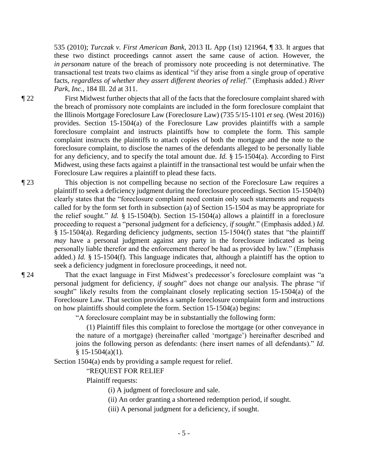535 (2010); *Turczak v. First American Bank*, 2013 IL App (1st) 121964, ¶ 33. It argues that these two distinct proceedings cannot assert the same cause of action. However, the *in personam* nature of the breach of promissory note proceeding is not determinative. The transactional test treats two claims as identical "if they arise from a single group of operative facts, *regardless of whether they assert different theories of relief*." (Emphasis added.) *River Park, Inc.*, 184 Ill. 2d at 311.

¶ 22 First Midwest further objects that all of the facts that the foreclosure complaint shared with the breach of promissory note complaints are included in the form foreclosure complaint that the Illinois Mortgage Foreclosure Law (Foreclosure Law) (735 5/15-1101 *et seq.* (West 2016)) provides. Section 15-1504(a) of the Foreclosure Law provides plaintiffs with a sample foreclosure complaint and instructs plaintiffs how to complete the form. This sample complaint instructs the plaintiffs to attach copies of both the mortgage and the note to the foreclosure complaint, to disclose the names of the defendants alleged to be personally liable for any deficiency, and to specify the total amount due. *Id.* § 15-1504(a). According to First Midwest, using these facts against a plaintiff in the transactional test would be unfair when the Foreclosure Law requires a plaintiff to plead these facts.

¶ 23 This objection is not compelling because no section of the Foreclosure Law requires a plaintiff to seek a deficiency judgment during the foreclosure proceedings. Section 15-1504(b) clearly states that the "foreclosure complaint need contain only such statements and requests called for by the form set forth in subsection (a) of Section 15-1504 as may be appropriate for the relief sought." *Id.* § 15-1504(b). Section 15-1504(a) allows a plaintiff in a foreclosure proceeding to request a "personal judgment for a deficiency, *if sought*." (Emphasis added.) *Id.* § 15-1504(a). Regarding deficiency judgments, section 15-1504(f) states that "the plaintiff *may* have a personal judgment against any party in the foreclosure indicated as being personally liable therefor and the enforcement thereof be had as provided by law." (Emphasis added.) *Id.* § 15-1504(f). This language indicates that, although a plaintiff has the option to seek a deficiency judgment in foreclosure proceedings, it need not.

¶ 24 That the exact language in First Midwest's predecessor's foreclosure complaint was "a personal judgment for deficiency, *if sought*" does not change our analysis. The phrase "if sought" likely results from the complainant closely replicating section 15-1504(a) of the Foreclosure Law. That section provides a sample foreclosure complaint form and instructions on how plaintiffs should complete the form. Section 15-1504(a) begins:

"A foreclosure complaint may be in substantially the following form:

 (1) Plaintiff files this complaint to foreclose the mortgage (or other conveyance in the nature of a mortgage) (hereinafter called 'mortgage') hereinafter described and joins the following person as defendants: (here insert names of all defendants)." *Id.*  $§ 15-1504(a)(1).$ 

Section 1504(a) ends by providing a sample request for relief.

"REQUEST FOR RELIEF

Plaintiff requests:

(i) A judgment of foreclosure and sale.

(ii) An order granting a shortened redemption period, if sought.

(iii) A personal judgment for a deficiency, if sought.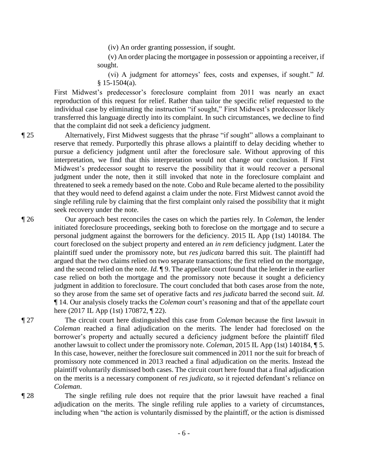(iv) An order granting possession, if sought.

 (v) An order placing the mortgagee in possession or appointing a receiver, if sought.

(vi) A judgment for attorneys' fees, costs and expenses, if sought." *Id.* § 15-1504(a).

First Midwest's predecessor's foreclosure complaint from 2011 was nearly an exact reproduction of this request for relief. Rather than tailor the specific relief requested to the individual case by eliminating the instruction "if sought," First Midwest's predecessor likely transferred this language directly into its complaint. In such circumstances, we decline to find that the complaint did not seek a deficiency judgment.

¶ 25 Alternatively, First Midwest suggests that the phrase "if sought" allows a complainant to reserve that remedy. Purportedly this phrase allows a plaintiff to delay deciding whether to pursue a deficiency judgment until after the foreclosure sale. Without approving of this interpretation, we find that this interpretation would not change our conclusion. If First Midwest's predecessor sought to reserve the possibility that it would recover a personal judgment under the note, then it still invoked that note in the foreclosure complaint and threatened to seek a remedy based on the note. Cobo and Rule became alerted to the possibility that they would need to defend against a claim under the note. First Midwest cannot avoid the single refiling rule by claiming that the first complaint only raised the possibility that it might seek recovery under the note.

¶ 26 Our approach best reconciles the cases on which the parties rely. In *Coleman*, the lender initiated foreclosure proceedings, seeking both to foreclose on the mortgage and to secure a personal judgment against the borrowers for the deficiency. 2015 IL App (1st) 140184. The court foreclosed on the subject property and entered an *in rem* deficiency judgment. Later the plaintiff sued under the promissory note, but *res judicata* barred this suit. The plaintiff had argued that the two claims relied on two separate transactions; the first relied on the mortgage, and the second relied on the note. *Id.* ¶ 9. The appellate court found that the lender in the earlier case relied on both the mortgage and the promissory note because it sought a deficiency judgment in addition to foreclosure. The court concluded that both cases arose from the note, so they arose from the same set of operative facts and *res judicata* barred the second suit. *Id.* ¶ 14. Our analysis closely tracks the *Coleman* court's reasoning and that of the appellate court here (2017 IL App (1st) 170872, ¶ 22).

¶ 27 The circuit court here distinguished this case from *Coleman* because the first lawsuit in *Coleman* reached a final adjudication on the merits. The lender had foreclosed on the borrower's property and actually secured a deficiency judgment before the plaintiff filed another lawsuit to collect under the promissory note. *Coleman*, 2015 IL App (1st) 140184, ¶ 5. In this case, however, neither the foreclosure suit commenced in 2011 nor the suit for breach of promissory note commenced in 2013 reached a final adjudication on the merits. Instead the plaintiff voluntarily dismissed both cases. The circuit court here found that a final adjudication on the merits is a necessary component of *res judicata*, so it rejected defendant's reliance on *Coleman*.

¶ 28 The single refiling rule does not require that the prior lawsuit have reached a final adjudication on the merits. The single refiling rule applies to a variety of circumstances, including when "the action is voluntarily dismissed by the plaintiff, or the action is dismissed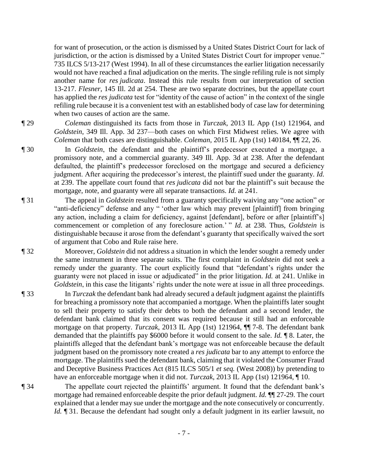for want of prosecution, or the action is dismissed by a United States District Court for lack of jurisdiction, or the action is dismissed by a United States District Court for improper venue." 735 ILCS 5/13-217 (West 1994). In all of these circumstances the earlier litigation necessarily would not have reached a final adjudication on the merits. The single refiling rule is not simply another name for *res judicata*. Instead this rule results from our interpretation of section 13-217. *Flesner*, 145 Ill. 2d at 254. These are two separate doctrines, but the appellate court has applied the *res judicata* test for "identity of the cause of action" in the context of the single refiling rule because it is a convenient test with an established body of case law for determining when two causes of action are the same.

¶ 29 *Coleman* distinguished its facts from those in *Turczak*, 2013 IL App (1st) 121964, and *Goldstein*, 349 Ill. App. 3d 237—both cases on which First Midwest relies. We agree with *Coleman* that both cases are distinguishable. *Coleman*, 2015 IL App (1st) 140184, ¶¶ 22, 26.

- ¶ 30 In *Goldstein*, the defendant and the plaintiff's predecessor executed a mortgage, a promissory note, and a commercial guaranty. 349 Ill. App. 3d at 238. After the defendant defaulted, the plaintiff's predecessor foreclosed on the mortgage and secured a deficiency judgment. After acquiring the predecessor's interest, the plaintiff sued under the guaranty. *Id.* at 239. The appellate court found that *res judicata* did not bar the plaintiff's suit because the mortgage, note, and guaranty were all separate transactions. *Id.* at 241.
- ¶ 31 The appeal in *Goldstein* resulted from a guaranty specifically waiving any "one action" or "anti-deficiency" defense and any " 'other law which may prevent [plaintiff] from bringing any action, including a claim for deficiency, against [defendant], before or after [plaintiff's] commencement or completion of any foreclosure action.' " *Id.* at 238. Thus, *Goldstein* is distinguishable because it arose from the defendant's guaranty that specifically waived the sort of argument that Cobo and Rule raise here.

¶ 32 Moreover, *Goldstein* did not address a situation in which the lender sought a remedy under the same instrument in three separate suits. The first complaint in *Goldstein* did not seek a remedy under the guaranty. The court explicitly found that "defendant's rights under the guaranty were not placed in issue or adjudicated" in the prior litigation. *Id.* at 241. Unlike in *Goldstein*, in this case the litigants' rights under the note were at issue in all three proceedings.

- ¶ 33 In *Turczak* the defendant bank had already secured a default judgment against the plaintiffs for breaching a promissory note that accompanied a mortgage. When the plaintiffs later sought to sell their property to satisfy their debts to both the defendant and a second lender, the defendant bank claimed that its consent was required because it still had an enforceable mortgage on that property. *Turczak*, 2013 IL App (1st) 121964, ¶¶ 7-8. The defendant bank demanded that the plaintiffs pay \$6000 before it would consent to the sale. *Id.* ¶ 8. Later, the plaintiffs alleged that the defendant bank's mortgage was not enforceable because the default judgment based on the promissory note created a *res judicata* bar to any attempt to enforce the mortgage. The plaintiffs sued the defendant bank, claiming that it violated the Consumer Fraud and Deceptive Business Practices Act (815 ILCS 505/1 *et seq.* (West 2008)) by pretending to have an enforceable mortgage when it did not. *Turczak*, 2013 IL App (1st) 121964,  $\P$ 10.
- ¶ 34 The appellate court rejected the plaintiffs' argument. It found that the defendant bank's mortgage had remained enforceable despite the prior default judgment. *Id.* ¶¶ 27-29. The court explained that a lender may sue under the mortgage and the note consecutively or concurrently. *Id.* 131. Because the defendant had sought only a default judgment in its earlier lawsuit, no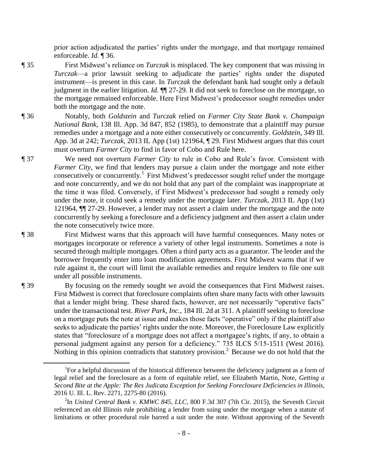prior action adjudicated the parties' rights under the mortgage, and that mortgage remained enforceable. *Id.* ¶ 36.

- ¶ 35 First Midwest's reliance on *Turczak* is misplaced. The key component that was missing in *Turczak*—a prior lawsuit seeking to adjudicate the parties' rights under the disputed instrument—is present in this case. In *Turczak* the defendant bank had sought only a default judgment in the earlier litigation. *Id.* ¶¶ 27-29. It did not seek to foreclose on the mortgage, so the mortgage remained enforceable. Here First Midwest's predecessor sought remedies under both the mortgage and the note.
- ¶ 36 Notably, both *Goldstein* and *Turczak* relied on *Farmer City State Bank v. Champaign National Bank*, 138 Ill. App. 3d 847, 852 (1985), to demonstrate that a plaintiff may pursue remedies under a mortgage and a note either consecutively or concurrently. *Goldstein*, 349 Ill. App. 3d at 242; *Turczak*, 2013 IL App (1st) 121964, ¶ 29. First Midwest argues that this court must overturn *Farmer City* to find in favor of Cobo and Rule here.
- ¶ 37 We need not overturn *Farmer City* to rule in Cobo and Rule's favor. Consistent with *Farmer City*, we find that lenders may pursue a claim under the mortgage and note either consecutively or concurrently.<sup>1</sup> First Midwest's predecessor sought relief under the mortgage and note concurrently, and we do not hold that any part of the complaint was inappropriate at the time it was filed. Conversely, if First Midwest's predecessor had sought a remedy only under the note, it could seek a remedy under the mortgage later. *Turczak*, 2013 IL App (1st) 121964, ¶¶ 27-29. However, a lender may not assert a claim under the mortgage and the note concurrently by seeking a foreclosure and a deficiency judgment and then assert a claim under the note consecutively twice more.
- ¶ 38 First Midwest warns that this approach will have harmful consequences. Many notes or mortgages incorporate or reference a variety of other legal instruments. Sometimes a note is secured through multiple mortgages. Often a third party acts as a guarantor. The lender and the borrower frequently enter into loan modification agreements. First Midwest warns that if we rule against it, the court will limit the available remedies and require lenders to file one suit under all possible instruments.
- ¶ 39 By focusing on the remedy sought we avoid the consequences that First Midwest raises. First Midwest is correct that foreclosure complaints often share many facts with other lawsuits that a lender might bring. These shared facts, however, are not necessarily "operative facts" under the transactional test. *River Park, Inc.*, 184 Ill. 2d at 311. A plaintiff seeking to foreclose on a mortgage puts the note at issue and makes those facts "operative" only if the plaintiff also seeks to adjudicate the parties' rights under the note. Moreover, the Foreclosure Law explicitly states that "foreclosure of a mortgage does not affect a mortgagee's rights, if any, to obtain a personal judgment against any person for a deficiency." 735 ILCS 5/15-1511 (West 2016). Nothing in this opinion contradicts that statutory provision.<sup>2</sup> Because we do not hold that the

 $\overline{a}$ 

<sup>&</sup>lt;sup>1</sup>For a helpful discussion of the historical difference between the deficiency judgment as a form of legal relief and the foreclosure as a form of equitable relief, see Elizabeth Martin, Note, *Getting a Second Bite at the Apple: The Res Judicata Exception for Seeking Foreclosure Deficiencies in Illinois*, 2016 U. Ill. L. Rev. 2271, 2275-80 (2016).

<sup>2</sup> In *United Central Bank v. KMWC 845, LLC*, 800 F.3d 307 (7th Cir. 2015), the Seventh Circuit referenced an old Illinois rule prohibiting a lender from suing under the mortgage when a statute of limitations or other procedural rule barred a suit under the note. Without approving of the Seventh